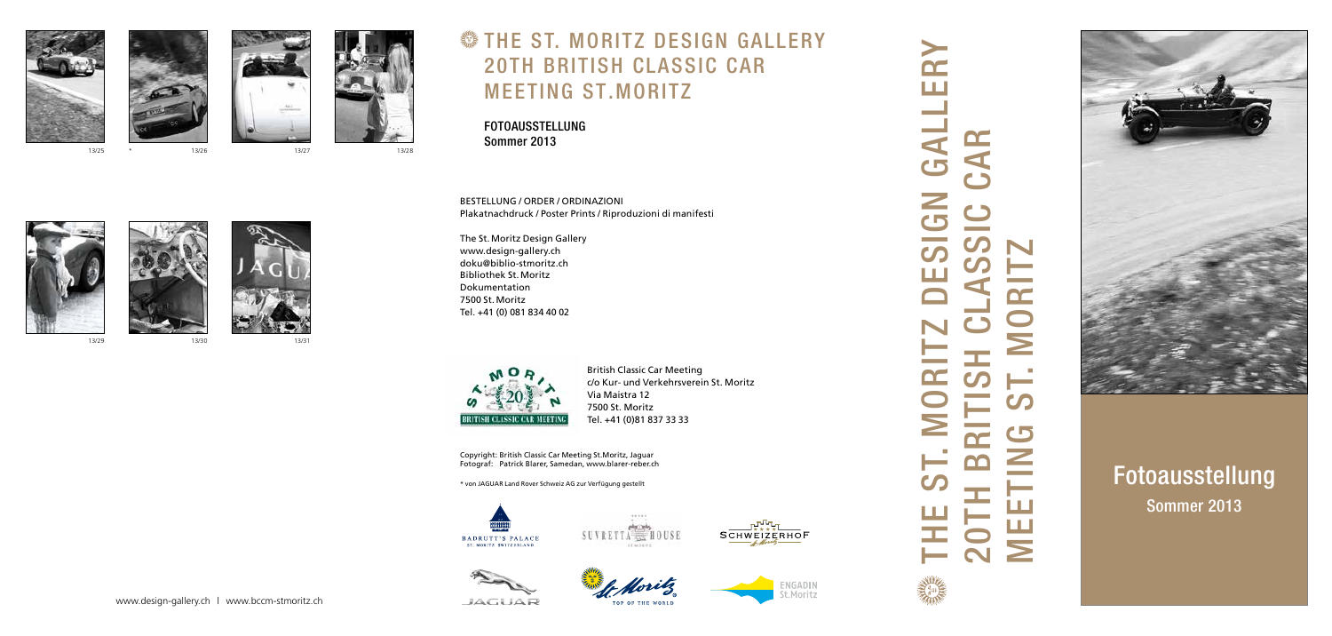BESTELLUNG / ORDER / ORDINAZIONI Plakatnachdruck / Poster Prints / Riproduzioni di manifesti

The St.Moritz Design Gallery www.design-gallery.ch doku@biblio-stmoritz.ch Bibliothek St.Moritz Dokumentation 7500 St.Moritz Tel. +41 (0) 081 834 40 02



British Classic Car Meeting c/o Kur- und Verkehrsverein St. Moritz Via Maistra 12 7500 St. Moritz Tel. +41 (0)81 837 33 33

Copyright: British Classic Car Meeting St.Moritz, Jaguar Fotograf: Patrick Blarer, Samedan, www.blarer-reber.ch

\* von JAGUAR Land Rover Schweiz AG zur Verfügung gestellt













# THE S T . MORITZ DESIGN GALLERY 20TH BRITISH CLASSIC CAR MEETING ST.MORITZ

FOTOAUSSTELLUNG Sommer 2013







# Fotoausstellung Sommer 2013

www.design-gallery.ch | www.bccm-stmoritz.ch



13/29



13/30

**JAGUAR** 



13/31